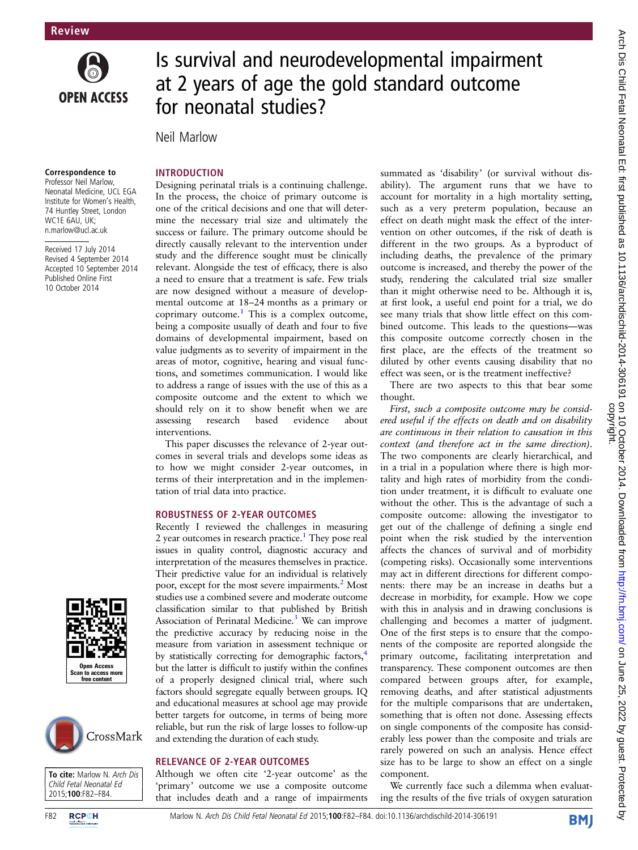

# Is survival and neurodevelopmental impairment at 2 years of age the gold standard outcome for neonatal studies?

Neil Marlow

#### Correspondence to

Professor Neil Marlow, Neonatal Medicine, UCL EGA Institute for Women's Health, 74 Huntley Street, London WC1E 6AU, UK: n.marlow@ucl.ac.uk

Received 17 July 2014 Revised 4 September 2014 Accepted 10 September 2014 Published Online First 10 October 2014

# INTRODUCTION

Designing perinatal trials is a continuing challenge. In the process, the choice of primary outcome is one of the critical decisions and one that will determine the necessary trial size and ultimately the success or failure. The primary outcome should be directly causally relevant to the intervention under study and the difference sought must be clinically relevant. Alongside the test of efficacy, there is also a need to ensure that a treatment is safe. Few trials are now designed without a measure of developmental outcome at 18–24 months as a primary or coprimary outcome.[1](#page-2-0) This is a complex outcome, being a composite usually of death and four to five domains of developmental impairment, based on value judgments as to severity of impairment in the areas of motor, cognitive, hearing and visual functions, and sometimes communication. I would like to address a range of issues with the use of this as a composite outcome and the extent to which we should rely on it to show benefit when we are assessing research based evidence about interventions.

This paper discusses the relevance of 2-year outcomes in several trials and develops some ideas as to how we might consider 2-year outcomes, in terms of their interpretation and in the implementation of trial data into practice.

#### ROBUSTNESS OF 2-YEAR OUTCOMES

Recently I reviewed the challenges in measuring 2 year outcomes in research practice.<sup>1</sup> They pose real issues in quality control, diagnostic accuracy and interpretation of the measures themselves in practice. Their predictive value for an individual is relatively poor, except for the most severe impairments.<sup>2</sup> Most studies use a combined severe and moderate outcome classification similar to that published by British Association of Perinatal Medicine.<sup>[3](#page-2-0)</sup> We can improve the predictive accuracy by reducing noise in the measure from variation in assessment technique or by statistically correcting for demographic factors, but the latter is difficult to justify within the confines of a properly designed clinical trial, where such factors should segregate equally between groups. IQ and educational measures at school age may provide better targets for outcome, in terms of being more reliable, but run the risk of large losses to follow-up and extending the duration of each study.

#### RELEVANCE OF 2-YEAR OUTCOMES

Although we often cite '2-year outcome' as the 'primary' outcome we use a composite outcome that includes death and a range of impairments summated as 'disability' (or survival without disability). The argument runs that we have to account for mortality in a high mortality setting, such as a very preterm population, because an effect on death might mask the effect of the intervention on other outcomes, if the risk of death is different in the two groups. As a byproduct of including deaths, the prevalence of the primary outcome is increased, and thereby the power of the study, rendering the calculated trial size smaller than it might otherwise need to be. Although it is, at first look, a useful end point for a trial, we do see many trials that show little effect on this combined outcome. This leads to the questions—was this composite outcome correctly chosen in the first place, are the effects of the treatment so diluted by other events causing disability that no effect was seen, or is the treatment ineffective?

There are two aspects to this that bear some thought.

First, such a composite outcome may be considered useful if the effects on death and on disability are continuous in their relation to causation in this context (and therefore act in the same direction). The two components are clearly hierarchical, and in a trial in a population where there is high mortality and high rates of morbidity from the condition under treatment, it is difficult to evaluate one without the other. This is the advantage of such a composite outcome: allowing the investigator to get out of the challenge of defining a single end point when the risk studied by the intervention affects the chances of survival and of morbidity (competing risks). Occasionally some interventions may act in different directions for different components: there may be an increase in deaths but a decrease in morbidity, for example. How we cope with this in analysis and in drawing conclusions is challenging and becomes a matter of judgment. One of the first steps is to ensure that the components of the composite are reported alongside the primary outcome, facilitating interpretation and transparency. These component outcomes are then compared between groups after, for example, removing deaths, and after statistical adjustments for the multiple comparisons that are undertaken, something that is often not done. Assessing effects on single components of the composite has considerably less power than the composite and trials are rarely powered on such an analysis. Hence effect size has to be large to show an effect on a single component.

We currently face such a dilemma when evaluating the results of the five trials of oxygen saturation





To cite: Marlow N. Arch Dis Child Fetal Neonatal Ed 2015;100:F82–F84.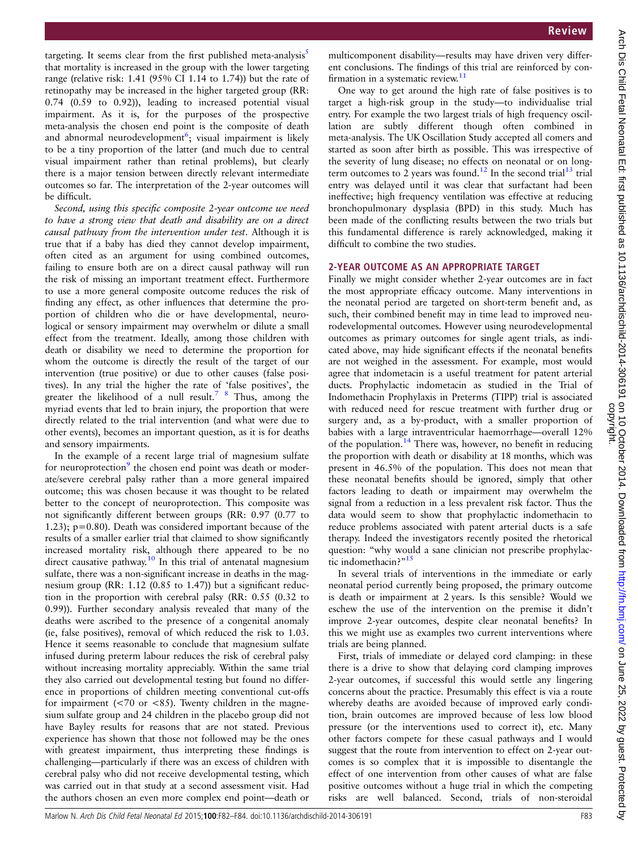targeting. It seems clear from the first published meta-analysis $\delta$ that mortality is increased in the group with the lower targeting range (relative risk: 1.41 (95% CI 1.14 to 1.74)) but the rate of retinopathy may be increased in the higher targeted group (RR: 0.74 (0.59 to 0.92)), leading to increased potential visual impairment. As it is, for the purposes of the prospective meta-analysis the chosen end point is the composite of death and abnormal neurodevelopment<sup>[6](#page-2-0)</sup>; visual impairment is likely to be a tiny proportion of the latter (and much due to central visual impairment rather than retinal problems), but clearly there is a major tension between directly relevant intermediate outcomes so far. The interpretation of the 2-year outcomes will be difficult.

Second, using this specific composite 2-year outcome we need to have a strong view that death and disability are on a direct causal pathway from the intervention under test. Although it is true that if a baby has died they cannot develop impairment, often cited as an argument for using combined outcomes, failing to ensure both are on a direct causal pathway will run the risk of missing an important treatment effect. Furthermore to use a more general composite outcome reduces the risk of finding any effect, as other influences that determine the proportion of children who die or have developmental, neurological or sensory impairment may overwhelm or dilute a small effect from the treatment. Ideally, among those children with death or disability we need to determine the proportion for whom the outcome is directly the result of the target of our intervention (true positive) or due to other causes (false positives). In any trial the higher the rate of 'false positives', the greater the likelihood of a null result.<sup>7</sup>  $8$  Thus, among the myriad events that led to brain injury, the proportion that were directly related to the trial intervention (and what were due to other events), becomes an important question, as it is for deaths and sensory impairments.

In the example of a recent large trial of magnesium sulfate for neuroprotection<sup>[9](#page-2-0)</sup> the chosen end point was death or moderate/severe cerebral palsy rather than a more general impaired outcome; this was chosen because it was thought to be related better to the concept of neuroprotection. This composite was not significantly different between groups (RR: 0.97 (0.77 to 1.23); p=0.80). Death was considered important because of the results of a smaller earlier trial that claimed to show significantly increased mortality risk, although there appeared to be no direct causative pathway.<sup>[10](#page-2-0)</sup> In this trial of antenatal magnesium sulfate, there was a non-significant increase in deaths in the magnesium group (RR: 1.12 (0.85 to 1.47)) but a significant reduction in the proportion with cerebral palsy (RR: 0.55 (0.32 to 0.99)). Further secondary analysis revealed that many of the deaths were ascribed to the presence of a congenital anomaly (ie, false positives), removal of which reduced the risk to 1.03. Hence it seems reasonable to conclude that magnesium sulfate infused during preterm labour reduces the risk of cerebral palsy without increasing mortality appreciably. Within the same trial they also carried out developmental testing but found no difference in proportions of children meeting conventional cut-offs for impairment  $(*70* or **85**). Twenty children in the magnen$ sium sulfate group and 24 children in the placebo group did not have Bayley results for reasons that are not stated. Previous experience has shown that those not followed may be the ones with greatest impairment, thus interpreting these findings is challenging—particularly if there was an excess of children with cerebral palsy who did not receive developmental testing, which was carried out in that study at a second assessment visit. Had the authors chosen an even more complex end point—death or

multicomponent disability—results may have driven very different conclusions. The findings of this trial are reinforced by con-firmation in a systematic review.<sup>[11](#page-2-0)</sup>

One way to get around the high rate of false positives is to target a high-risk group in the study—to individualise trial entry. For example the two largest trials of high frequency oscillation are subtly different though often combined in meta-analysis. The UK Oscillation Study accepted all comers and started as soon after birth as possible. This was irrespective of the severity of lung disease; no effects on neonatal or on long-term outcomes to 2 years was found.<sup>[12](#page-2-0)</sup> In the second trial<sup>[13](#page-2-0)</sup> trial entry was delayed until it was clear that surfactant had been ineffective; high frequency ventilation was effective at reducing bronchopulmonary dysplasia (BPD) in this study. Much has been made of the conflicting results between the two trials but this fundamental difference is rarely acknowledged, making it difficult to combine the two studies.

# 2-YEAR OUTCOME AS AN APPROPRIATE TARGET

Finally we might consider whether 2-year outcomes are in fact the most appropriate efficacy outcome. Many interventions in the neonatal period are targeted on short-term benefit and, as such, their combined benefit may in time lead to improved neurodevelopmental outcomes. However using neurodevelopmental outcomes as primary outcomes for single agent trials, as indicated above, may hide significant effects if the neonatal benefits are not weighed in the assessment. For example, most would agree that indometacin is a useful treatment for patent arterial ducts. Prophylactic indometacin as studied in the Trial of Indomethacin Prophylaxis in Preterms (TIPP) trial is associated with reduced need for rescue treatment with further drug or surgery and, as a by-product, with a smaller proportion of babies with a large intraventricular haemorrhage—overall 12% of the population.<sup>[14](#page-2-0)</sup> There was, however, no benefit in reducing the proportion with death or disability at 18 months, which was present in 46.5% of the population. This does not mean that these neonatal benefits should be ignored, simply that other factors leading to death or impairment may overwhelm the signal from a reduction in a less prevalent risk factor. Thus the data would seem to show that prophylactic indomethacin to reduce problems associated with patent arterial ducts is a safe therapy. Indeed the investigators recently posited the rhetorical question: "why would a sane clinician not prescribe prophylac-tic indomethacin?"<sup>[15](#page-2-0)</sup>

In several trials of interventions in the immediate or early neonatal period currently being proposed, the primary outcome is death or impairment at 2 years. Is this sensible? Would we eschew the use of the intervention on the premise it didn't improve 2-year outcomes, despite clear neonatal benefits? In this we might use as examples two current interventions where trials are being planned.

First, trials of immediate or delayed cord clamping: in these there is a drive to show that delaying cord clamping improves 2-year outcomes, if successful this would settle any lingering concerns about the practice. Presumably this effect is via a route whereby deaths are avoided because of improved early condition, brain outcomes are improved because of less low blood pressure (or the interventions used to correct it), etc. Many other factors compete for these casual pathways and I would suggest that the route from intervention to effect on 2-year outcomes is so complex that it is impossible to disentangle the effect of one intervention from other causes of what are false positive outcomes without a huge trial in which the competing risks are well balanced. Second, trials of non-steroidal